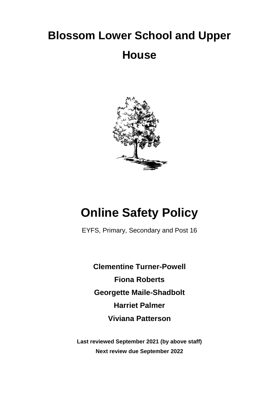# **Blossom Lower School and Upper House**



## **Online Safety Policy**

EYFS, Primary, Secondary and Post 16

**Clementine Turner-Powell Fiona Roberts Georgette Maile-Shadbolt Harriet Palmer Viviana Patterson**

**Last reviewed September 2021 (by above staff) Next review due September 2022**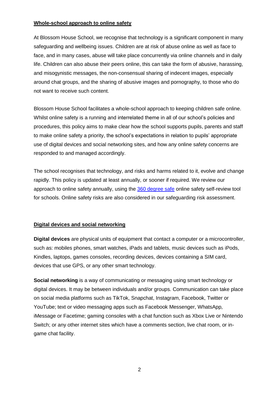#### **Whole-school approach to online safety**

At Blossom House School, we recognise that technology is a significant component in many safeguarding and wellbeing issues. Children are at risk of abuse online as well as face to face, and in many cases, abuse will take place concurrently via online channels and in daily life. Children can also abuse their peers online, this can take the form of abusive, harassing, and misogynistic messages, the non-consensual sharing of indecent images, especially around chat groups, and the sharing of abusive images and pornography, to those who do not want to receive such content.

Blossom House School facilitates a whole-school approach to keeping children safe online. Whilst online safety is a running and interrelated theme in all of our school's policies and procedures, this policy aims to make clear how the school supports pupils, parents and staff to make online safety a priority, the school's expectations in relation to pupils' appropriate use of digital devices and social networking sites, and how any online safety concerns are responded to and managed accordingly.

The school recognises that technology, and risks and harms related to it, evolve and change rapidly. This policy is updated at least annually, or sooner if required. We review our approach to online safety annually, using the [360 degree safe](https://360safe.org.uk/) online safety self-review tool for schools. Online safety risks are also considered in our safeguarding risk assessment.

#### **Digital devices and social networking**

**Digital devices** are physical units of equipment that contact a computer or a microcontroller, such as: mobiles phones, smart watches, iPads and tablets, music devices such as iPods, Kindles, laptops, games consoles, recording devices, devices containing a SIM card, devices that use GPS, or any other smart technology.

**Social networking** is a way of communicating or messaging using smart technology or digital devices. It may be between individuals and/or groups. Communication can take place on social media platforms such as TikTok, Snapchat, Instagram, Facebook, Twitter or YouTube; text or video messaging apps such as Facebook Messenger, WhatsApp, iMessage or Facetime; gaming consoles with a chat function such as Xbox Live or Nintendo Switch; or any other internet sites which have a comments section, live chat room, or ingame chat facility.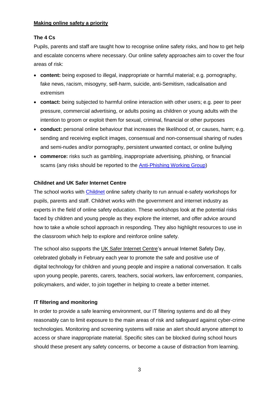#### **Making online safety a priority**

## **The 4 Cs**

Pupils, parents and staff are taught how to recognise online safety risks, and how to get help and escalate concerns where necessary. Our online safety approaches aim to cover the four areas of risk:

- **content:** being exposed to illegal, inappropriate or harmful material; e.g. pornography, fake news, racism, misogyny, self-harm, suicide, anti-Semitism, radicalisation and extremism
- **contact:** being subjected to harmful online interaction with other users; e.g. peer to peer pressure, commercial advertising, or adults posing as children or young adults with the intention to groom or exploit them for sexual, criminal, financial or other purposes
- **conduct:** personal online behaviour that increases the likelihood of, or causes, harm; e.g. sending and receiving explicit images, consensual and non-consensual sharing of nudes and semi-nudes and/or pornography, persistent unwanted contact, or online bullying
- **commerce:** risks such as gambling, inappropriate advertising, phishing, or financial scams (any risks should be reported to the [Anti-Phishing Working Group\)](https://apwg.org/)

#### **Childnet and UK Safer Internet Centre**

The school works with [Childnet](http://www.childnet.com/) online safety charity to run annual e-safety workshops for pupils, parents and staff. Childnet works with the government and internet industry as experts in the field of online safety education. These workshops look at the potential risks faced by children and young people as they explore the internet, and offer advice around how to take a whole school approach in responding. They also highlight resources to use in the classroom which help to explore and reinforce online safety.

The school also supports the [UK Safer Internet Centre'](http://www.saferinternet.org.uk/)s annual Internet Safety Day, celebrated globally in February each year to promote the safe and positive use of digital technology for children and young people and inspire a national conversation. It calls upon young people, parents, carers, teachers, social workers, law enforcement, companies, policymakers, and wider, to join together in helping to create a better internet.

## **IT filtering and monitoring**

In order to provide a safe learning environment, our IT filtering systems and do all they reasonably can to limit exposure to the main areas of risk and safeguard against cyber-crime technologies. Monitoring and screening systems will raise an alert should anyone attempt to access or share inappropriate material. Specific sites can be blocked during school hours should these present any safety concerns, or become a cause of distraction from learning.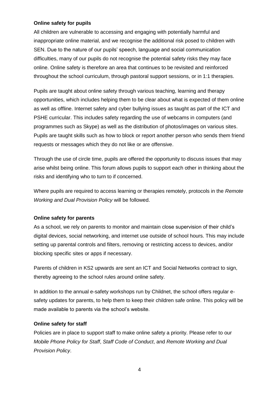#### **Online safety for pupils**

All children are vulnerable to accessing and engaging with potentially harmful and inappropriate online material, and we recognise the additional risk posed to children with SEN. Due to the nature of our pupils' speech, language and social communication difficulties, many of our pupils do not recognise the potential safety risks they may face online. Online safety is therefore an area that continues to be revisited and reinforced throughout the school curriculum, through pastoral support sessions, or in 1:1 therapies.

Pupils are taught about online safety through various teaching, learning and therapy opportunities, which includes helping them to be clear about what is expected of them online as well as offline. Internet safety and cyber bullying issues as taught as part of the ICT and PSHE curricular. This includes safety regarding the use of webcams in computers (and programmes such as Skype) as well as the distribution of photos/images on various sites. Pupils are taught skills such as how to block or report another person who sends them friend requests or messages which they do not like or are offensive.

Through the use of circle time, pupils are offered the opportunity to discuss issues that may arise whilst being online. This forum allows pupils to support each other in thinking about the risks and identifying who to turn to if concerned.

Where pupils are required to access learning or therapies remotely, protocols in the *Remote Working and Dual Provision Policy* will be followed.

#### **Online safety for parents**

As a school, we rely on parents to monitor and maintain close supervision of their child's digital devices, social networking, and internet use outside of school hours. This may include setting up parental controls and filters, removing or restricting access to devices, and/or blocking specific sites or apps if necessary.

Parents of children in KS2 upwards are sent an ICT and Social Networks contract to sign, thereby agreeing to the school rules around online safety.

In addition to the annual e-safety workshops run by Childnet, the school offers regular esafety updates for parents, to help them to keep their children safe online. This policy will be made available to parents via the school's website.

#### **Online safety for staff**

Policies are in place to support staff to make online safety a priority. Please refer to our *Mobile Phone Policy for Staff*, *Staff Code of Conduct*, and *Remote Working and Dual Provision Policy*.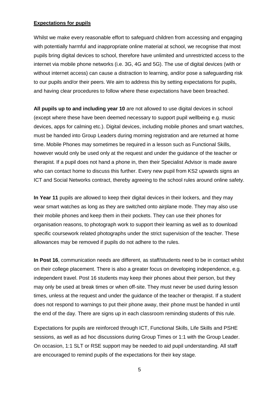#### **Expectations for pupils**

Whilst we make every reasonable effort to safeguard children from accessing and engaging with potentially harmful and inappropriate online material at school, we recognise that most pupils bring digital devices to school, therefore have unlimited and unrestricted access to the internet via mobile phone networks (i.e. 3G, 4G and 5G). The use of digital devices (with or without internet access) can cause a distraction to learning, and/or pose a safeguarding risk to our pupils and/or their peers. We aim to address this by setting expectations for pupils, and having clear procedures to follow where these expectations have been breached.

**All pupils up to and including year 10** are not allowed to use digital devices in school (except where these have been deemed necessary to support pupil wellbeing e.g. music devices, apps for calming etc.). Digital devices, including mobile phones and smart watches, must be handed into Group Leaders during morning registration and are returned at home time. Mobile Phones may sometimes be required in a lesson such as Functional Skills, however would only be used only at the request and under the guidance of the teacher or therapist*.* If a pupil does not hand a phone in, then their Specialist Advisor is made aware who can contact home to discuss this further. Every new pupil from KS2 upwards signs an ICT and Social Networks contract, thereby agreeing to the school rules around online safety.

**In Year 11** pupils are allowed to keep their digital devices in their lockers, and they may wear smart watches as long as they are switched onto airplane mode. They may also use their mobile phones and keep them in their pockets. They can use their phones for organisation reasons, to photograph work to support their learning as well as to download specific coursework related photographs under the strict supervision of the teacher. These allowances may be removed if pupils do not adhere to the rules.

**In Post 16**, communication needs are different, as staff/students need to be in contact whilst on their college placement. There is also a greater focus on developing independence, e.g. independent travel. Post 16 students may keep their phones about their person, but they may only be used at break times or when off-site. They must never be used during lesson times, unless at the request and under the guidance of the teacher or therapist. If a student does not respond to warnings to put their phone away, their phone must be handed in until the end of the day. There are signs up in each classroom reminding students of this rule.

Expectations for pupils are reinforced through ICT, Functional Skills, Life Skills and PSHE sessions, as well as ad hoc discussions during Group Times or 1:1 with the Group Leader. On occasion, 1:1 SLT or RSE support may be needed to aid pupil understanding. All staff are encouraged to remind pupils of the expectations for their key stage.

5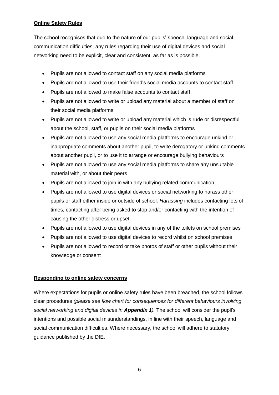## **Online Safety Rules**

The school recognises that due to the nature of our pupils' speech, language and social communication difficulties, any rules regarding their use of digital devices and social networking need to be explicit, clear and consistent, as far as is possible.

- Pupils are not allowed to contact staff on any social media platforms
- Pupils are not allowed to use their friend's social media accounts to contact staff
- Pupils are not allowed to make false accounts to contact staff
- Pupils are not allowed to write or upload any material about a member of staff on their social media platforms
- Pupils are not allowed to write or upload any material which is rude or disrespectful about the school, staff, or pupils on their social media platforms
- Pupils are not allowed to use any social media platforms to encourage unkind or inappropriate comments about another pupil, to write derogatory or unkind comments about another pupil, or to use it to arrange or encourage bullying behaviours
- Pupils are not allowed to use any social media platforms to share any unsuitable material with, or about their peers
- Pupils are not allowed to join in with any bullying related communication
- Pupils are not allowed to use digital devices or social networking to harass other pupils or staff either inside or outside of school. *Harassing* includes contacting lots of times, contacting after being asked to stop and/or contacting with the intention of causing the other distress or upset
- Pupils are not allowed to use digital devices in any of the toilets on school premises
- Pupils are not allowed to use digital devices to record whilst on school premises
- Pupils are not allowed to record or take photos of staff or other pupils without their knowledge or consent

#### **Responding to online safety concerns**

Where expectations for pupils or online safety rules have been breached, the school follows clear procedures *(please see flow chart for consequences for different behaviours involving social networking and digital devices in Appendix 1).* The school will consider the pupil's intentions and possible social misunderstandings, in line with their speech, language and social communication difficulties. Where necessary, the school will adhere to statutory guidance published by the DfE.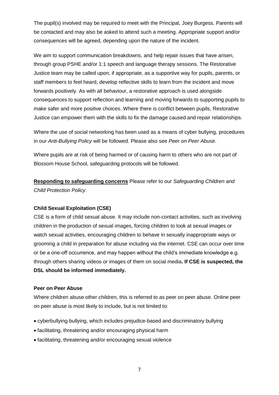The pupil(s) involved may be required to meet with the Principal, Joey Burgess. Parents will be contacted and may also be asked to attend such a meeting. Appropriate support and/or consequences will be agreed, depending upon the nature of the incident.

We aim to support communication breakdowns, and help repair issues that have arisen, through group PSHE and/or 1:1 speech and language therapy sessions. The Restorative Justice team may be called upon, if appropriate, as a supportive way for pupils, parents, or staff members to feel heard, develop reflective skills to learn from the incident and move forwards positively. As with all behaviour, a restorative approach is used alongside consequences to support reflection and learning and moving forwards to supporting pupils to make safer and more positive choices. Where there is conflict between pupils, Restorative Justice can empower them with the skills to fix the damage caused and repair relationships.

Where the use of social networking has been used as a means of cyber bullying, procedures in our *Anti-Bullying Policy* will be followed. Please also see *Peer on Peer Abuse*.

Where pupils are at risk of being harmed or of causing harm to others who are not part of Blossom House School, safeguarding protocols will be followed.

**Responding to safeguarding concerns** Please refer to our *Safeguarding Children and Child Protection Policy*.

#### **Child Sexual Exploitation (CSE)**

CSE is a form of child sexual abuse. It may include non-contact activities, such as involving children in the production of sexual images, forcing children to look at sexual images or watch sexual activities, encouraging children to behave in sexually inappropriate ways or grooming a child in preparation for abuse including via the internet. CSE can occur over time or be a one-off occurrence, and may happen without the child's immediate knowledge e.g. through others sharing videos or images of them on social media**. If CSE is suspected, the DSL should be informed immediately.**

#### **Peer on Peer Abuse**

Where children abuse other children, this is referred to as peer on peer abuse. Online peer on peer abuse is most likely to include, but is not limited to:

- cyberbullying bullying, which includes prejudice-based and discriminatory bullying
- facilitating, threatening and/or encouraging physical harm
- facilitating, threatening and/or encouraging sexual violence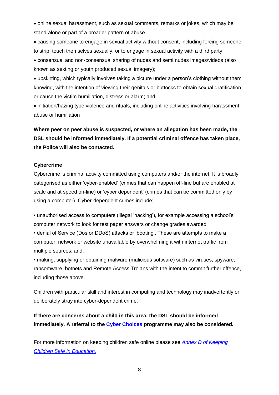• online sexual harassment, such as sexual comments, remarks or jokes, which may be stand-alone or part of a broader pattern of abuse

• causing someone to engage in sexual activity without consent, including forcing someone to strip, touch themselves sexually, or to engage in sexual activity with a third party

• consensual and non-consensual sharing of nudes and semi nudes images/videos (also known as sexting or youth produced sexual imagery);

• upskirting, which typically involves taking a picture under a person's clothing without them knowing, with the intention of viewing their genitals or buttocks to obtain sexual gratification, or cause the victim humiliation, distress or alarm; and

• initiation/hazing type violence and rituals, including online activities involving harassment, abuse or humiliation

**Where peer on peer abuse is suspected, or where an allegation has been made, the DSL should be informed immediately. If a potential criminal offence has taken place, the Police will also be contacted.**

#### **Cybercrime**

Cybercrime is criminal activity committed using computers and/or the internet. It is broadly categorised as either 'cyber-enabled' (crimes that can happen off-line but are enabled at scale and at speed on-line) or 'cyber dependent' (crimes that can be committed only by using a computer). Cyber-dependent crimes include;

• unauthorised access to computers (illegal 'hacking'), for example accessing a school's computer network to look for test paper answers or change grades awarded

• denial of Service (Dos or DDoS) attacks or 'booting'. These are attempts to make a computer, network or website unavailable by overwhelming it with internet traffic from multiple sources; and,

• making, supplying or obtaining malware (malicious software) such as viruses, spyware, ransomware, botnets and Remote Access Trojans with the intent to commit further offence, including those above.

Children with particular skill and interest in computing and technology may inadvertently or deliberately stray into cyber-dependent crime.

**If there are concerns about a child in this area, the DSL should be informed immediately. A referral to the [Cyber Choices](https://nationalcrimeagency.gov.uk/what-we-do/crime-threats/cyber-crime/cyberchoices) programme may also be considered.**

For more information on keeping children safe online please see *Annex D [of Keeping](https://assets.publishing.service.gov.uk/government/uploads/system/uploads/attachment_data/file/1014057/KCSIE_2021_September.pdf)  [Children Safe in Education.](https://assets.publishing.service.gov.uk/government/uploads/system/uploads/attachment_data/file/1014057/KCSIE_2021_September.pdf)*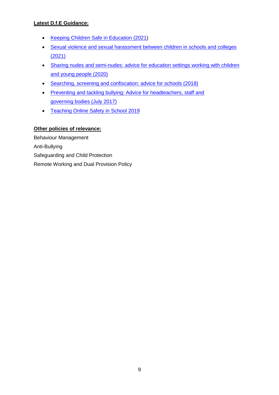## **Latest D.f.E Guidance:**

- [Keeping Children Safe in Education \(2021\)](https://assets.publishing.service.gov.uk/government/uploads/system/uploads/attachment_data/file/1014057/KCSIE_2021_September.pdf)
- [Sexual violence and sexual harassment between children in schools and colleges](https://assets.publishing.service.gov.uk/government/uploads/system/uploads/attachment_data/file/999239/SVSH_2021.pdf)  [\(2021\)](https://assets.publishing.service.gov.uk/government/uploads/system/uploads/attachment_data/file/999239/SVSH_2021.pdf)
- [Sharing nudes and semi-nudes: advice for](https://www.gov.uk/government/publications/sharing-nudes-and-semi-nudes-advice-for-education-settings-working-with-children-and-young-people/sharing-nudes-and-semi-nudes-advice-for-education-settings-working-with-children-and-young-people) education settings working with children [and young people \(2020\)](https://www.gov.uk/government/publications/sharing-nudes-and-semi-nudes-advice-for-education-settings-working-with-children-and-young-people/sharing-nudes-and-semi-nudes-advice-for-education-settings-working-with-children-and-young-people)
- [Searching, screening and confiscation: advice for schools \(2018\)](https://assets.publishing.service.gov.uk/government/uploads/system/uploads/attachment_data/file/674416/Searching_screening_and_confiscation.pdf)
- [Preventing and tackling bullying: Advice for headteachers,](https://assets.publishing.service.gov.uk/government/uploads/system/uploads/attachment_data/file/623895/Preventing_and_tackling_bullying_advice.pdf) staff and [governing bodies \(July 2017\)](https://assets.publishing.service.gov.uk/government/uploads/system/uploads/attachment_data/file/623895/Preventing_and_tackling_bullying_advice.pdf)
- [Teaching Online Safety in School 2019](https://assets.publishing.service.gov.uk/government/uploads/system/uploads/attachment_data/file/811796/Teaching_online_safety_in_school.pdf)

## **Other policies of relevance:**

Behaviour Management Anti-Bullying Safeguarding and Child Protection Remote Working and Dual Provision Policy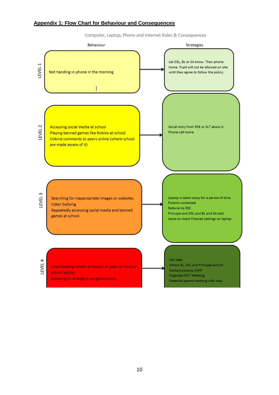#### **Appendix 1: Flow Chart for Behaviour and Consequences**

Computer, Laptop, Phone and Internet Rules & Consequences

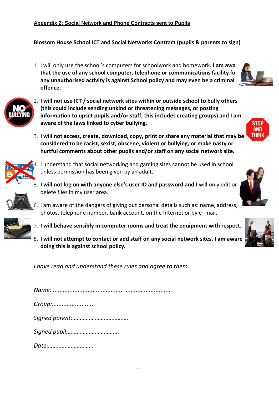**Blossom House School ICT and Social Networks Contract (pupils & parents to sign)**

1. I will only use the school's computers for schoolwork and homework. **I am aware that the use of any school computer, telephone or communications facility for any unauthorised activity is against School policy and may even be a criminal offence.**

![](_page_10_Picture_3.jpeg)

- 2. **I will not use ICT / social network sites within or outside school to bully others (this could include sending unkind or threatening messages, or posting information to upset pupils and/or staff, this includes creating groups) and I am aware of the laws linked to cyber bullying.**
- 3. **I will not access, create, download, copy, print or share any material that may be considered to be racist, sexist, obscene, violent or bullying, or make nasty or hurtful comments about other pupils and/or staff on any social network site.**

![](_page_10_Picture_6.jpeg)

- 4. I understand that social networking and gaming sites cannot be used in school unless permission has been given by an adult.
- 5. **I will not log on with anyone else's user ID and password and I** will only edit or delete files in my user area.

![](_page_10_Picture_9.jpeg)

- 6. I am aware of the dangers of giving out personal details such as: name, address, photos, telephone number, bank account, on the Internet or by e- mail.
- 7. **I will behave sensibly in computer rooms and treat the equipment with respect.**
- 8. **I will not attempt to contact or add staff on any social network sites. I am aware doing this is against school policy.**

*I have read and understand these rules and agree to them.*

| Group:        |  |
|---------------|--|
|               |  |
| Signed pupil: |  |
| Date:         |  |

![](_page_10_Picture_15.jpeg)

**STOP AND THINK** 

![](_page_10_Picture_16.jpeg)

![](_page_10_Picture_17.jpeg)